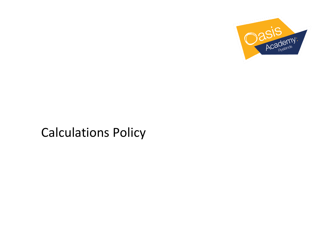

# Calculations Policy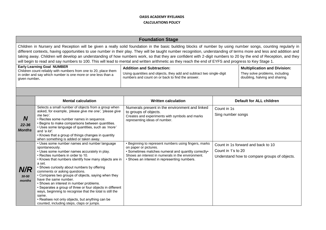|                                        | <b>Foundation Stage</b>                                                                                                                                                                                                                                                                                                                                                                                                                                                                                                                                                                                                                                             |                                                                                                                                                                                                                                            |                                  |                                                                                    |  |  |  |
|----------------------------------------|---------------------------------------------------------------------------------------------------------------------------------------------------------------------------------------------------------------------------------------------------------------------------------------------------------------------------------------------------------------------------------------------------------------------------------------------------------------------------------------------------------------------------------------------------------------------------------------------------------------------------------------------------------------------|--------------------------------------------------------------------------------------------------------------------------------------------------------------------------------------------------------------------------------------------|----------------------------------|------------------------------------------------------------------------------------|--|--|--|
|                                        | Children in Nursery and Reception will be given a really solid foundation in the basic building blocks of number by using number songs, counting regularly in<br>different contexts, having opportunities to use number in their play. They will be taught number recognition, understanding of terms more and less and addition and<br>taking away. Children will develop an understanding of how numbers work, so that they are confident with 2-digit numbers to 20 by the end of Reception, and they<br>will begin to read and say numbers to 100. This will lead to mental and written arithmetic as they reach the end of EYFS and progress to Key Stage 1.   |                                                                                                                                                                                                                                            |                                  |                                                                                    |  |  |  |
|                                        | <b>Early Learning Goal NUMBER</b><br><b>Addition and Subtraction:</b><br><b>Multiplication and Division:</b><br>Children count reliably with numbers from one to 20, place them<br>Using quantities and objects, they add and subtract two single-digit<br>They solve problems, including<br>in order and say which number is one more or one less than a<br>numbers and count on or back to find the answer.<br>doubling, halving and sharing.<br>given number.                                                                                                                                                                                                    |                                                                                                                                                                                                                                            |                                  |                                                                                    |  |  |  |
|                                        |                                                                                                                                                                                                                                                                                                                                                                                                                                                                                                                                                                                                                                                                     |                                                                                                                                                                                                                                            |                                  |                                                                                    |  |  |  |
|                                        | <b>Mental calculation</b>                                                                                                                                                                                                                                                                                                                                                                                                                                                                                                                                                                                                                                           | <b>Written calculation</b>                                                                                                                                                                                                                 |                                  | Default for ALL children                                                           |  |  |  |
| <b>N</b><br>$22 - 36$<br><b>Months</b> | Selects a small number of objects from a group when<br>asked, for example, 'please give me one', 'please give<br>me two'.<br>• Recites some number names in sequence.<br>• Begins to make comparisons between quantities.<br>• Uses some language of quantities, such as 'more'<br>and 'a lot'.<br>• Knows that a group of things changes in quantity<br>when something is added or taken away.                                                                                                                                                                                                                                                                     | Numerals present in the environment and linked<br>to groups of objects.<br>Creates and experiments with symbols and marks<br>representing ideas of number.                                                                                 | Count in 1s<br>Sing number songs |                                                                                    |  |  |  |
| N/R<br>$30 - 50$<br>months             | • Uses some number names and number language<br>spontaneously.<br>• Uses some number names accurately in play.<br>• Recites numbers in order to 10.<br>• Knows that numbers identify how many objects are in<br>a set.<br>• Shows curiosity about numbers by offering<br>comments or asking questions.<br>• Compares two groups of objects, saying when they<br>have the same number.<br>• Shows an interest in number problems.<br>• Separates a group of three or four objects in different<br>ways, beginning to recognise that the total is still the<br>same.<br>• Realises not only objects, but anything can be<br>counted, including steps, claps or jumps. | • Beginning to represent numbers using fingers, marks<br>on paper or pictures.<br>• Sometimes matches numeral and quantity correctly•<br>Shows an interest in numerals in the environment.<br>• Shows an interest in representing numbers. | Count in 1's to 20               | Count in 1s forward and back to 10<br>Understand how to compare groups of objects. |  |  |  |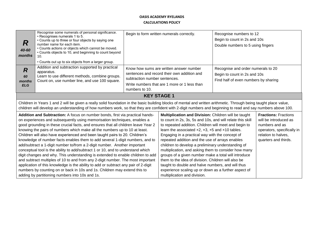| R<br>40-60<br>months                         | Recognise some numerals of personal significance.<br>• Recognises numerals 1 to 5.<br>• Counts up to three or four objects by saying one<br>number name for each item.<br>• Counts actions or objects which cannot be moved.<br>• Counts objects to 10, and beginning to count beyond<br>10.<br>• Counts out up to six objects from a larger group.                                                                                                                                                                                                                                                                                                                                                                                                                                                                                                                                                                                                                                                                                                       |                                                                                                                                                                                           | Begin to form written numerals correctly.                                                                                                                                                                                                                                                                                                                                                                                                                                                                                                                                                                                                                                                                                | Recognise numbers to 12<br>Begin to count in 2s and 10s<br>Double numbers to 5 using fingers               |                                                                                                                                                     |  |
|----------------------------------------------|-----------------------------------------------------------------------------------------------------------------------------------------------------------------------------------------------------------------------------------------------------------------------------------------------------------------------------------------------------------------------------------------------------------------------------------------------------------------------------------------------------------------------------------------------------------------------------------------------------------------------------------------------------------------------------------------------------------------------------------------------------------------------------------------------------------------------------------------------------------------------------------------------------------------------------------------------------------------------------------------------------------------------------------------------------------|-------------------------------------------------------------------------------------------------------------------------------------------------------------------------------------------|--------------------------------------------------------------------------------------------------------------------------------------------------------------------------------------------------------------------------------------------------------------------------------------------------------------------------------------------------------------------------------------------------------------------------------------------------------------------------------------------------------------------------------------------------------------------------------------------------------------------------------------------------------------------------------------------------------------------------|------------------------------------------------------------------------------------------------------------|-----------------------------------------------------------------------------------------------------------------------------------------------------|--|
| $\overline{R}$<br>60<br>months<br><b>ELG</b> | Addition and subtraction supported by practical<br>apparatus.<br>Learn to use different methods, combine groups.<br>Count on, use number line, and use 100 square.                                                                                                                                                                                                                                                                                                                                                                                                                                                                                                                                                                                                                                                                                                                                                                                                                                                                                        | Know how sums are written answer number<br>sentences and record their own addition and<br>subtraction number sentences.<br>Write numbers that are 1 more or 1 less than<br>numbers to 10. |                                                                                                                                                                                                                                                                                                                                                                                                                                                                                                                                                                                                                                                                                                                          | Recognise and order numerals to 20<br>Begin to count in 2s and 10s<br>Find half of even numbers by sharing |                                                                                                                                                     |  |
|                                              | <b>KEY STAGE 1</b>                                                                                                                                                                                                                                                                                                                                                                                                                                                                                                                                                                                                                                                                                                                                                                                                                                                                                                                                                                                                                                        |                                                                                                                                                                                           |                                                                                                                                                                                                                                                                                                                                                                                                                                                                                                                                                                                                                                                                                                                          |                                                                                                            |                                                                                                                                                     |  |
|                                              | Children in Years 1 and 2 will be given a really solid foundation in the basic building blocks of mental and written arithmetic. Through being taught place value,<br>children will develop an understanding of how numbers work, so that they are confident with 2-digit numbers and beginning to read and say numbers above 100.                                                                                                                                                                                                                                                                                                                                                                                                                                                                                                                                                                                                                                                                                                                        |                                                                                                                                                                                           |                                                                                                                                                                                                                                                                                                                                                                                                                                                                                                                                                                                                                                                                                                                          |                                                                                                            |                                                                                                                                                     |  |
|                                              | Addition and Subtraction: A focus on number bonds, first via practical hands-<br>on experiences and subsequently using memorisation techniques, enables a<br>good grounding in these crucial facts, and ensures that all children leave Year 2<br>knowing the pairs of numbers which make all the numbers up to 10 at least.<br>Children will also have experienced and been taught pairs to 20. Children's<br>knowledge of number facts enables them to add several 1-digit numbers, and to<br>add/subtract a 1-digit number to/from a 2-digit number. Another important<br>conceptual tool is the ability to add/subtract 1 or 10, and to understand which<br>digit changes and why. This understanding is extended to enable children to add<br>and subtract multiples of 10 to and from any 2-digit number. The most important<br>application of this knowledge is the ability to add or subtract any pair of 2-digit<br>numbers by counting on or back in 10s and 1s. Children may extend this to<br>adding by partitioning numbers into 10s and 1s. |                                                                                                                                                                                           | Multiplication and Division: Children will be taught<br>to count in 2s, 3s, 5s and 10s, and will relate this skill<br>to repeated addition. Children will meet and begin to<br>learn the associated $x2$ , $x3$ , $x5$ and $x10$ tables.<br>Engaging in a practical way with the concept of<br>repeated addition and the use of arrays enables<br>children to develop a preliminary understanding of<br>multiplication, and asking them to consider how many<br>groups of a given number make a total will introduce<br>them to the idea of division. Children will also be<br>taught to double and halve numbers, and will thus<br>experience scaling up or down as a further aspect of<br>multiplication and division. |                                                                                                            | <b>Fractions: Fractions</b><br>will be introduced as<br>numbers and as<br>operators, specifically in<br>relation to halves,<br>quarters and thirds. |  |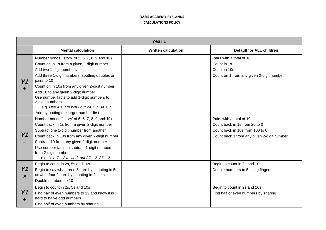|                             | Year 1                                                                                                                                                                                                                                                                                                                                                                                                                                         |                            |                                                                                                                                            |  |  |
|-----------------------------|------------------------------------------------------------------------------------------------------------------------------------------------------------------------------------------------------------------------------------------------------------------------------------------------------------------------------------------------------------------------------------------------------------------------------------------------|----------------------------|--------------------------------------------------------------------------------------------------------------------------------------------|--|--|
|                             | <b>Mental calculation</b>                                                                                                                                                                                                                                                                                                                                                                                                                      | <b>Written calculation</b> | <b>Default for ALL children</b>                                                                                                            |  |  |
| Y <sub>1</sub>              | Number bonds ('story' of 5, 6, 7, 8, 9 and 10)<br>Count on in 1s from a given 2-digit number<br>Add two 1-digit numbers<br>Add three 1-digit numbers, spotting doubles or<br>pairs to 10<br>Count on in 10s from any given 2-digit number<br>Add 10 to any given 2-digit number<br>Use number facts to add 1-digit numbers to<br>2-digit numbers<br>e.g. Use $4 + 3$ to work out $24 + 3$ , $34 + 3$<br>Add by putting the larger number first |                            | Pairs with a total of 10<br>Count in 1s<br>Count in 10s<br>Count on 1 from any given 2-digit number                                        |  |  |
| Y1                          | Number bonds ('story' of 5, 6, 7, 8, 9 and 10)<br>Count back in 1s from a given 2-digit number<br>Subtract one 1-digit number from another<br>Count back in 10s from any given 2-digit number<br>Subtract 10 from any given 2-digit number<br>Use number facts to subtract 1-digit numbers<br>from 2-digit numbers<br>e.g. Use $7 - 2$ to work out $27 - 2$ , $37 - 2$                                                                         |                            | Pairs with a total of 10<br>Count back in 1s from 20 to 0<br>Count back in 10s from 100 to 0<br>Count back 1 from any given 2-digit number |  |  |
| Y1<br>$\boldsymbol{\times}$ | Begin to count in 2s, 5s and 10s<br>Begin to say what three 5s are by counting in 5s,<br>or what four 2s are by counting in 2s, etc.<br>Double numbers to 10                                                                                                                                                                                                                                                                                   |                            | Begin to count in 2s and 10s<br>Double numbers to 5 using fingers                                                                          |  |  |
| Y1<br>÷                     | Begin to count in 2s, 5s and 10s<br>Find half of even numbers to 12 and know it is<br>hard to halve odd numbers<br>Find half of even numbers by sharing                                                                                                                                                                                                                                                                                        |                            | Begin to count in 2s and 10s<br>Find half of even numbers by sharing                                                                       |  |  |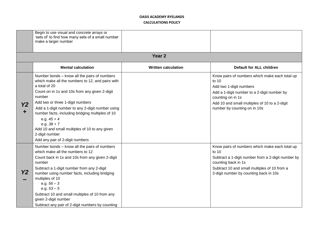|           | Begin to use visual and concrete arrays or<br>'sets of' to find how many sets of a small number<br>make a larger number                                                                                                                                                                                                                                                                                                                                          |                            |                                                                                                                                                                                                                                         |
|-----------|------------------------------------------------------------------------------------------------------------------------------------------------------------------------------------------------------------------------------------------------------------------------------------------------------------------------------------------------------------------------------------------------------------------------------------------------------------------|----------------------------|-----------------------------------------------------------------------------------------------------------------------------------------------------------------------------------------------------------------------------------------|
|           |                                                                                                                                                                                                                                                                                                                                                                                                                                                                  | Year <sub>2</sub>          |                                                                                                                                                                                                                                         |
|           | <b>Mental calculation</b>                                                                                                                                                                                                                                                                                                                                                                                                                                        | <b>Written calculation</b> | <b>Default for ALL children</b>                                                                                                                                                                                                         |
| <b>Y2</b> | Number bonds - know all the pairs of numbers<br>which make all the numbers to 12, and pairs with<br>a total of 20<br>Count on in 1s and 10s from any given 2-digit<br>number<br>Add two or three 1-digit numbers<br>Add a 1-digit number to any 2-digit number using<br>number facts, including bridging multiples of 10<br>e.g. $45 + 4$<br>e.g. $38 + 7$<br>Add 10 and small multiples of 10 to any given<br>2-digit number<br>Add any pair of 2-digit numbers |                            | Know pairs of numbers which make each total up<br>to 10<br>Add two 1-digit numbers<br>Add a 1-digit number to a 2-digit number by<br>counting on in 1s<br>Add 10 and small multiples of 10 to a 2-digit<br>number by counting on in 10s |
| <b>Y2</b> | Number bonds - know all the pairs of numbers<br>which make all the numbers to 12<br>Count back in 1s and 10s from any given 2-digit<br>number<br>Subtract a 1-digit number from any 2-digit<br>number using number facts, including bridging<br>multiples of 10<br>e.g. $56 - 3$<br>e.g. $53 - 5$<br>Subtract 10 and small multiples of 10 from any<br>given 2-digit number<br>Subtract any pair of 2-digit numbers by counting                                  |                            | Know pairs of numbers which make each total up<br>to 10<br>Subtract a 1-digit number from a 2-digit number by<br>counting back in 1s<br>Subtract 10 and small multiples of 10 from a<br>2-digit number by counting back in 10s          |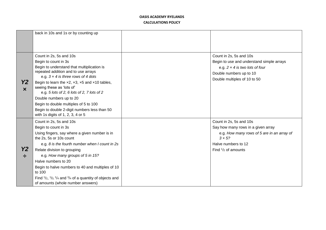|                                    | back in 10s and 1s or by counting up                                                                                                                                                                                                                                                                                                                                                                                                                                                                     |                                                                                                                                                                                      |
|------------------------------------|----------------------------------------------------------------------------------------------------------------------------------------------------------------------------------------------------------------------------------------------------------------------------------------------------------------------------------------------------------------------------------------------------------------------------------------------------------------------------------------------------------|--------------------------------------------------------------------------------------------------------------------------------------------------------------------------------------|
| <b>Y2</b><br>$\boldsymbol{\times}$ | Count in 2s, 5s and 10s<br>Begin to count in 3s<br>Begin to understand that multiplication is<br>repeated addition and to use arrays<br>e.g. $3 \times 4$ is three rows of 4 dots<br>Begin to learn the $\times 2$ , $\times 3$ , $\times 5$ and $\times 10$ tables,<br>seeing these as 'lots of'<br>e.g. 5 lots of 2, 6 lots of 2, 7 lots of 2<br>Double numbers up to 20<br>Begin to double multiples of 5 to 100<br>Begin to double 2-digit numbers less than 50<br>with 1s digits of 1, 2, 3, 4 or 5 | Count in 2s, 5s and 10s<br>Begin to use and understand simple arrays<br>e.g. $2 \times 4$ is two lots of four<br>Double numbers up to 10<br>Double multiples of 10 to 50             |
| <b>Y2</b>                          | Count in 2s, 5s and 10s<br>Begin to count in 3s<br>Using fingers, say where a given number is in<br>the 2s, 5s or 10s count<br>e.g. 8 is the fourth number when I count in 2s<br>Relate division to grouping<br>e.g. How many groups of 5 in 15?<br>Halve numbers to 20<br>Begin to halve numbers to 40 and multiples of 10<br>to 100<br>Find $\frac{1}{2}$ , $\frac{1}{3}$ , $\frac{1}{4}$ and $\frac{3}{4}$ of a quantity of objects and<br>of amounts (whole number answers)                          | Count in 2s, 5s and 10s<br>Say how many rows in a given array<br>e.g. How many rows of 5 are in an array of<br>$3 \times 5?$<br>Halve numbers to 12<br>Find $\frac{1}{2}$ of amounts |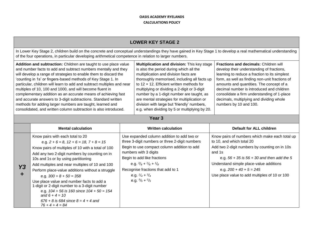|           | <b>LOWER KEY STAGE 2</b>                                                                                                                                                                                                                                                                                                                                                                                                                                                                                                                                                                                                                                                         |                                                                                                                                                                                                                                                                                                                                                                    |                                                                                                                                                                                                                                                                                                                                                                                                                                                                          |                                                                                                                                                                                                                                                                                                                                                                                                     |  |  |
|-----------|----------------------------------------------------------------------------------------------------------------------------------------------------------------------------------------------------------------------------------------------------------------------------------------------------------------------------------------------------------------------------------------------------------------------------------------------------------------------------------------------------------------------------------------------------------------------------------------------------------------------------------------------------------------------------------|--------------------------------------------------------------------------------------------------------------------------------------------------------------------------------------------------------------------------------------------------------------------------------------------------------------------------------------------------------------------|--------------------------------------------------------------------------------------------------------------------------------------------------------------------------------------------------------------------------------------------------------------------------------------------------------------------------------------------------------------------------------------------------------------------------------------------------------------------------|-----------------------------------------------------------------------------------------------------------------------------------------------------------------------------------------------------------------------------------------------------------------------------------------------------------------------------------------------------------------------------------------------------|--|--|
|           | In Lower Key Stage 2, children build on the concrete and conceptual understandings they have gained in Key Stage 1 to develop a real mathematical understanding<br>of the four operations, in particular developing arithmetical competence in relation to larger numbers.                                                                                                                                                                                                                                                                                                                                                                                                       |                                                                                                                                                                                                                                                                                                                                                                    |                                                                                                                                                                                                                                                                                                                                                                                                                                                                          |                                                                                                                                                                                                                                                                                                                                                                                                     |  |  |
|           | Addition and subtraction: Children are taught to use place value<br>and number facts to add and subtract numbers mentally and they<br>will develop a range of strategies to enable them to discard the<br>'counting in 1s' or fingers-based methods of Key Stage 1. In<br>particular, children will learn to add and subtract multiples and near<br>multiples of 10, 100 and 1000, and will become fluent in<br>complementary addition as an accurate means of achieving fast<br>and accurate answers to 3-digit subtractions. Standard written<br>methods for adding larger numbers are taught, learned and<br>consolidated, and written column subtraction is also introduced. |                                                                                                                                                                                                                                                                                                                                                                    | Multiplication and division: This key stage<br>is also the period during which all the<br>multiplication and division facts are<br>thoroughly memorised, including all facts up<br>to 12 x 12. Efficient written methods for<br>multiplying or dividing a 2-digit or 3-digit<br>number by a 1-digit number are taught, as<br>are mental strategies for multiplication or<br>division with large but 'friendly' numbers,<br>e.g. when dividing by 5 or multiplying by 20. | Fractions and decimals: Children will<br>develop their understanding of fractions,<br>learning to reduce a fraction to its simplest<br>form, as well as finding non-unit fractions of<br>amounts and quantities. The concept of a<br>decimal number is introduced and children<br>consolidate a firm understanding of 1-place<br>decimals, multiplying and dividing whole<br>numbers by 10 and 100. |  |  |
|           | Year <sub>3</sub>                                                                                                                                                                                                                                                                                                                                                                                                                                                                                                                                                                                                                                                                |                                                                                                                                                                                                                                                                                                                                                                    |                                                                                                                                                                                                                                                                                                                                                                                                                                                                          |                                                                                                                                                                                                                                                                                                                                                                                                     |  |  |
|           | <b>Mental calculation</b>                                                                                                                                                                                                                                                                                                                                                                                                                                                                                                                                                                                                                                                        |                                                                                                                                                                                                                                                                                                                                                                    | <b>Written calculation</b>                                                                                                                                                                                                                                                                                                                                                                                                                                               | <b>Default for ALL children</b>                                                                                                                                                                                                                                                                                                                                                                     |  |  |
| <b>Y3</b> | Know pairs with each total to 20<br>e.g. $2 + 6 = 8$ , $12 + 6 = 18$ , $7 + 8 = 15$<br>Know pairs of multiples of 10 with a total of 100<br>Add any two 2-digit numbers by counting on in<br>10s and 1s or by using partitioning<br>Add multiples and near multiples of 10 and 100<br>Perform place-value additions without a struggle<br>e.g. $300 + 8 + 50 = 358$<br>Use place value and number facts to add a<br>1-digit or 2-digit number to a 3-digit number<br>e.g. $104 + 56$ is $160$ since $104 + 50 = 154$<br>and $6 + 4 = 10$<br>$676 + 8$ is 684 since $8 = 4 + 4$ and<br>$76 + 4 + 4 = 84$                                                                          | Use expanded column addition to add two or<br>three 3-digit numbers or three 2-digit numbers<br>Begin to use compact column addition to add<br>numbers with 3 digits<br>Begin to add like fractions<br>e.g. $\frac{3}{8} + \frac{1}{8} + \frac{1}{8}$<br>Recognise fractions that add to 1<br>e.g. $\frac{1}{4} + \frac{3}{4}$<br>e.g. $\frac{3}{5} + \frac{2}{5}$ |                                                                                                                                                                                                                                                                                                                                                                                                                                                                          | Know pairs of numbers which make each total up<br>to 10, and which total 20<br>Add two 2-digit numbers by counting on in 10s<br>and 1s<br>e.g. $56 + 35$ is $56 + 30$ and then add the 5<br>Understand simple place-value additions<br>e.g. $200 + 40 + 5 = 245$<br>Use place value to add multiples of 10 or 100                                                                                   |  |  |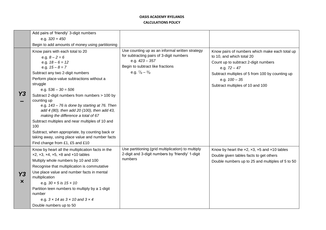|                | Add pairs of 'friendly' 3-digit numbers<br>e.g. $320 + 450$                                                                                                                                                                                                                                                                                                                                                                                                                                                                                                                                                                                                                           |                                                                                                                                                                                         |                                                                                                                                                                                                                                                 |
|----------------|---------------------------------------------------------------------------------------------------------------------------------------------------------------------------------------------------------------------------------------------------------------------------------------------------------------------------------------------------------------------------------------------------------------------------------------------------------------------------------------------------------------------------------------------------------------------------------------------------------------------------------------------------------------------------------------|-----------------------------------------------------------------------------------------------------------------------------------------------------------------------------------------|-------------------------------------------------------------------------------------------------------------------------------------------------------------------------------------------------------------------------------------------------|
| Y3             | Begin to add amounts of money using partitioning<br>Know pairs with each total to 20<br>e.g. $8 - 2 = 6$<br>e.g. $18 - 6 = 12$<br>e.g. $15 - 8 = 7$<br>Subtract any two 2-digit numbers<br>Perform place-value subtractions without a<br>struggle<br>e.g. $536 - 30 = 506$<br>Subtract 2-digit numbers from numbers > 100 by<br>counting up<br>e.g. 143 - 76 is done by starting at 76. Then<br>add 4 (80), then add 20 (100), then add 43,<br>making the difference a total of 67<br>Subtract multiples and near multiples of 10 and<br>100<br>Subtract, when appropriate, by counting back or<br>taking away, using place value and number facts<br>Find change from £1, £5 and £10 | Use counting up as an informal written strategy<br>for subtracting pairs of 3-digit numbers<br>e.g. $423 - 357$<br>Begin to subtract like fractions<br>e.g. $\frac{7}{8} - \frac{3}{8}$ | Know pairs of numbers which make each total up<br>to 10, and which total 20<br>Count up to subtract 2-digit numbers<br>e.g. $72 - 47$<br>Subtract multiples of 5 from 100 by counting up<br>e.g. $100 - 35$<br>Subtract multiples of 10 and 100 |
| Y3<br>$\bm{x}$ | Know by heart all the multiplication facts in the<br>$x2, x3, x4, x5, x8$ and $x10$ tables<br>Multiply whole numbers by 10 and 100<br>Recognise that multiplication is commutative<br>Use place value and number facts in mental<br>multiplication<br>e.g. $30 \times 5$ is $15 \times 10$<br>Partition teen numbers to multiply by a 1-digit<br>number<br>e.g. $3 \times 14$ as $3 \times 10$ and $3 \times 4$<br>Double numbers up to 50                                                                                                                                                                                                                                            | Use partitioning (grid multiplication) to multiply<br>2-digit and 3-digit numbers by 'friendly' 1-digit<br>numbers                                                                      | Know by heart the $\times 2$ , $\times 3$ , $\times 5$ and $\times 10$ tables<br>Double given tables facts to get others<br>Double numbers up to 25 and multiples of 5 to 50                                                                    |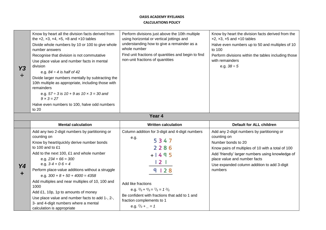| Y3<br>÷ | Know by heart all the division facts derived from<br>the $\times 2$ , $\times 3$ , $\times 4$ , $\times 5$ , $\times 8$ and $\times 10$ tables<br>Divide whole numbers by 10 or 100 to give whole<br>number answers<br>Recognise that division is not commutative<br>Use place value and number facts in mental<br>division<br>e.g. $84 \div 4$ is half of 42<br>Divide larger numbers mentally by subtracting the<br>10th multiple as appropriate, including those with<br>remainders<br>e.g. $57 \div 3$ is $10 + 9$ as $10 \times 3 = 30$ and<br>$9 \times 3 = 27$<br>Halve even numbers to 100, halve odd numbers<br>to 20 | Perform divisions just above the 10th multiple<br>using horizontal or vertical jottings and<br>understanding how to give a remainder as a<br>whole number<br>Find unit fractions of quantities and begin to find<br>non-unit fractions of quantities                                                    | Know by heart the division facts derived from the<br>$x2, x3, x5$ and $x10$ tables<br>Halve even numbers up to 50 and multiples of 10<br>to 100<br>Perform divisions within the tables including those<br>with remainders<br>e.g. $38 \div 5$                                      |
|---------|--------------------------------------------------------------------------------------------------------------------------------------------------------------------------------------------------------------------------------------------------------------------------------------------------------------------------------------------------------------------------------------------------------------------------------------------------------------------------------------------------------------------------------------------------------------------------------------------------------------------------------|---------------------------------------------------------------------------------------------------------------------------------------------------------------------------------------------------------------------------------------------------------------------------------------------------------|------------------------------------------------------------------------------------------------------------------------------------------------------------------------------------------------------------------------------------------------------------------------------------|
|         |                                                                                                                                                                                                                                                                                                                                                                                                                                                                                                                                                                                                                                | Year 4                                                                                                                                                                                                                                                                                                  |                                                                                                                                                                                                                                                                                    |
|         | <b>Mental calculation</b>                                                                                                                                                                                                                                                                                                                                                                                                                                                                                                                                                                                                      | <b>Written calculation</b>                                                                                                                                                                                                                                                                              | <b>Default for ALL children</b>                                                                                                                                                                                                                                                    |
| Y4<br>٠ | Add any two 2-digit numbers by partitioning or<br>counting on<br>Know by heart/quickly derive number bonds<br>to 100 and to £1<br>Add to the next 100, £1 and whole number<br>e.g. $234 + 66 = 300$<br>e.g. $3.4 + 0.6 = 4$<br>Perform place-value additions without a struggle<br>e.g. $300 + 8 + 50 + 4000 = 4358$<br>Add multiples and near multiples of 10, 100 and<br>1000<br>Add £1, 10p, 1p to amounts of money<br>Use place value and number facts to add 1-, 2-,                                                                                                                                                      | Column addition for 3-digit and 4-digit numbers<br>e.g.<br>5347<br>2286<br>$+1495$<br>$\begin{array}{c} 2 \end{array}$<br>9   2 8<br>Add like fractions<br>e.g. $\frac{3}{5} + \frac{4}{5} = \frac{7}{5} = 1 \frac{2}{5}$<br>Be confident with fractions that add to 1 and<br>fraction complements to 1 | Add any 2-digit numbers by partitioning or<br>counting on<br>Number bonds to 20<br>Know pairs of multiples of 10 with a total of 100<br>Add 'friendly' larger numbers using knowledge of<br>place value and number facts<br>Use expanded column addition to add 3-digit<br>numbers |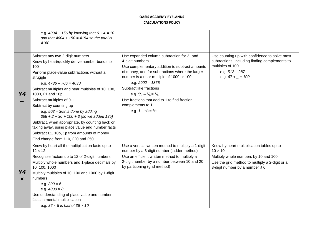|                | e.g. $4004 + 156$ by knowing that $6 + 4 = 10$<br>and that $4004 + 150 = 4154$ so the total is<br>4160                                                                                                                                                                                                                                                                                                                                                                                                                                                                                      |                                                                                                                                                                                                                                                                                                                                                                                                                               |                                                                                                                                                                                              |
|----------------|---------------------------------------------------------------------------------------------------------------------------------------------------------------------------------------------------------------------------------------------------------------------------------------------------------------------------------------------------------------------------------------------------------------------------------------------------------------------------------------------------------------------------------------------------------------------------------------------|-------------------------------------------------------------------------------------------------------------------------------------------------------------------------------------------------------------------------------------------------------------------------------------------------------------------------------------------------------------------------------------------------------------------------------|----------------------------------------------------------------------------------------------------------------------------------------------------------------------------------------------|
| Y4             | Subtract any two 2-digit numbers<br>Know by heart/quickly derive number bonds to<br>100<br>Perform place-value subtractions without a<br>struggle<br>e.g. $4736 - 706 = 4030$<br>Subtract multiples and near multiples of 10, 100,<br>1000, £1 and 10p<br>Subtract multiples of 0.1<br>Subtract by counting up<br>e.g. $503 - 368$ is done by adding<br>$368 + 2 + 30 + 100 + 3$ (so we added 135)<br>Subtract, when appropriate, by counting back or<br>taking away, using place value and number facts<br>Subtract £1, 10p, 1p from amounts of money<br>Find change from £10, £20 and £50 | Use expanded column subtraction for 3- and<br>4-digit numbers<br>Use complementary addition to subtract amounts<br>of money, and for subtractions where the larger<br>number is a near multiple of 1000 or 100<br>e.g. $2002 - 1865$<br>Subtract like fractions<br>e.g. $\frac{4}{5} - \frac{3}{5} = \frac{1}{5}$<br>Use fractions that add to 1 to find fraction<br>complements to 1<br>e.g. $1 - \frac{2}{3} = \frac{1}{3}$ | Use counting up with confidence to solve most<br>subtractions, including finding complements to<br>multiples of 100<br>e.g. 512 - 287<br>e.g. $67 + 2 = 100$                                 |
| Y4<br>$\bm{x}$ | Know by heart all the multiplication facts up to<br>$12 \times 12$<br>Recognise factors up to 12 of 2-digit numbers<br>Multiply whole numbers and 1-place decimals by<br>10, 100, 1000<br>Multiply multiples of 10, 100 and 1000 by 1-digit<br>numbers<br>e.g. $300 \times 6$<br>e.g. $4000 \times 8$<br>Use understanding of place value and number<br>facts in mental multiplication<br>e.g. $36 \times 5$ is half of $36 \times 10$                                                                                                                                                      | Use a vertical written method to multiply a 1-digit<br>number by a 3-digit number (ladder method)<br>Use an efficient written method to multiply a<br>2-digit number by a number between 10 and 20<br>by partitioning (grid method)                                                                                                                                                                                           | Know by heart multiplication tables up to<br>$10 \times 10$<br>Multiply whole numbers by 10 and 100<br>Use the grid method to multiply a 2-digit or a<br>3-digit number by a number $\leq 6$ |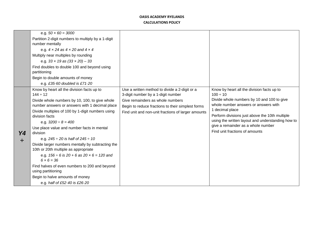|         | e.g. $50 \times 60 = 3000$<br>Partition 2-digit numbers to multiply by a 1-digit<br>number mentally<br>e.g. $4 \times 24$ as $4 \times 20$ and $4 \times 4$<br>Multiply near multiples by rounding<br>e.g. $33 \times 19$ as $(33 \times 20) - 33$<br>Find doubles to double 100 and beyond using<br>partitioning<br>Begin to double amounts of money<br>e.g. £35.60 doubled is £71.20                                                                                                                                                                                                                                                                                                              |                                                                                                                                                                                                                                    |                                                                                                                                                                                                                                                                                                                                                     |
|---------|-----------------------------------------------------------------------------------------------------------------------------------------------------------------------------------------------------------------------------------------------------------------------------------------------------------------------------------------------------------------------------------------------------------------------------------------------------------------------------------------------------------------------------------------------------------------------------------------------------------------------------------------------------------------------------------------------------|------------------------------------------------------------------------------------------------------------------------------------------------------------------------------------------------------------------------------------|-----------------------------------------------------------------------------------------------------------------------------------------------------------------------------------------------------------------------------------------------------------------------------------------------------------------------------------------------------|
| Y4<br>÷ | Know by heart all the division facts up to<br>$144 \div 12$<br>Divide whole numbers by 10, 100, to give whole<br>number answers or answers with 1 decimal place<br>Divide multiples of 100 by 1-digit numbers using<br>division facts<br>e.g. $3200 \div 8 = 400$<br>Use place value and number facts in mental<br>division<br>e.g. $245 \div 20$ is half of $245 \div 10$<br>Divide larger numbers mentally by subtracting the<br>10th or 20th multiple as appropriate<br>e.g. $156 \div 6$ is $20 + 6$ as $20 \times 6 = 120$ and<br>$6 \times 6 = 36$<br>Find halves of even numbers to 200 and beyond<br>using partitioning<br>Begin to halve amounts of money<br>e.g. half of £52.40 is £26.20 | Use a written method to divide a 2-digit or a<br>3-digit number by a 1-digit number<br>Give remainders as whole numbers<br>Begin to reduce fractions to their simplest forms<br>Find unit and non-unit fractions of larger amounts | Know by heart all the division facts up to<br>$100 \div 10$<br>Divide whole numbers by 10 and 100 to give<br>whole number answers or answers with<br>1 decimal place<br>Perform divisions just above the 10th multiple<br>using the written layout and understanding how to<br>give a remainder as a whole number<br>Find unit fractions of amounts |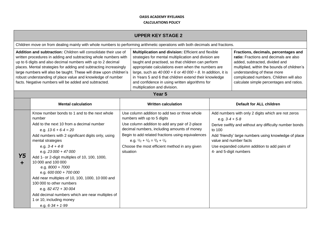| <b>UPPER KEY STAGE 2</b>                                                                                                                                                                                                                                                                                                                                                                                                                                               |                                                                                                                                                                                                                                                                                                                                                                                                                                                                                                                                                                                           |                                                                                                                                                                                                                                                                                                                                                                                                                                                |                                                                                                                                                                                                                                                                                                                                                     |                                                                                                                                                                                                                                                                                       |                                                                                                                                                                                                                       |
|------------------------------------------------------------------------------------------------------------------------------------------------------------------------------------------------------------------------------------------------------------------------------------------------------------------------------------------------------------------------------------------------------------------------------------------------------------------------|-------------------------------------------------------------------------------------------------------------------------------------------------------------------------------------------------------------------------------------------------------------------------------------------------------------------------------------------------------------------------------------------------------------------------------------------------------------------------------------------------------------------------------------------------------------------------------------------|------------------------------------------------------------------------------------------------------------------------------------------------------------------------------------------------------------------------------------------------------------------------------------------------------------------------------------------------------------------------------------------------------------------------------------------------|-----------------------------------------------------------------------------------------------------------------------------------------------------------------------------------------------------------------------------------------------------------------------------------------------------------------------------------------------------|---------------------------------------------------------------------------------------------------------------------------------------------------------------------------------------------------------------------------------------------------------------------------------------|-----------------------------------------------------------------------------------------------------------------------------------------------------------------------------------------------------------------------|
|                                                                                                                                                                                                                                                                                                                                                                                                                                                                        | Children move on from dealing mainly with whole numbers to performing arithmetic operations with both decimals and fractions.                                                                                                                                                                                                                                                                                                                                                                                                                                                             |                                                                                                                                                                                                                                                                                                                                                                                                                                                |                                                                                                                                                                                                                                                                                                                                                     |                                                                                                                                                                                                                                                                                       |                                                                                                                                                                                                                       |
| Addition and subtraction: Children will consolidate their use of<br>written procedures in adding and subtracting whole numbers with<br>up to 6 digits and also decimal numbers with up to 2 decimal<br>places. Mental strategies for adding and subtracting increasingly<br>large numbers will also be taught. These will draw upon children's<br>robust understanding of place value and knowledge of number<br>facts. Negative numbers will be added and subtracted. |                                                                                                                                                                                                                                                                                                                                                                                                                                                                                                                                                                                           | Multiplication and division: Efficient and flexible<br>strategies for mental multiplication and division are<br>taught and practised, so that children can perform<br>appropriate calculations even when the numbers are<br>large, such as 40 000 $\times$ 6 or 40 000 $\div$ 8. In addition, it is<br>in Years 5 and 6 that children extend their knowledge<br>and confidence in using written algorithms for<br>multiplication and division. |                                                                                                                                                                                                                                                                                                                                                     | Fractions, decimals, percentages and<br>ratio: Fractions and decimals are also<br>added, subtracted, divided and<br>multiplied, within the bounds of children's<br>understanding of these more<br>complicated numbers. Children will also<br>calculate simple percentages and ratios. |                                                                                                                                                                                                                       |
|                                                                                                                                                                                                                                                                                                                                                                                                                                                                        |                                                                                                                                                                                                                                                                                                                                                                                                                                                                                                                                                                                           |                                                                                                                                                                                                                                                                                                                                                                                                                                                | Year <sub>5</sub>                                                                                                                                                                                                                                                                                                                                   |                                                                                                                                                                                                                                                                                       |                                                                                                                                                                                                                       |
|                                                                                                                                                                                                                                                                                                                                                                                                                                                                        | <b>Mental calculation</b>                                                                                                                                                                                                                                                                                                                                                                                                                                                                                                                                                                 |                                                                                                                                                                                                                                                                                                                                                                                                                                                | <b>Written calculation</b>                                                                                                                                                                                                                                                                                                                          |                                                                                                                                                                                                                                                                                       | <b>Default for ALL children</b>                                                                                                                                                                                       |
| Y5                                                                                                                                                                                                                                                                                                                                                                                                                                                                     | Know number bonds to 1 and to the next whole<br>number<br>Add to the next 10 from a decimal number<br>e.g. $13.6 + 6.4 = 20$<br>Add numbers with 2 significant digits only, using<br>mental strategies<br>e.g. $3.4 + 4.8$<br>e.g. $23000 + 47000$<br>Add 1- or 2-digit multiples of 10, 100, 1000,<br>10 000 and 100 000<br>e.g. $8000 + 7000$<br>e.g. $600000 + 700000$<br>Add near multiples of 10, 100, 1000, 10 000 and<br>100 000 to other numbers<br>e.g. $82\,472 + 30\,004$<br>Add decimal numbers which are near multiples of<br>1 or 10, including money<br>e.g. $6.34 + 1.99$ | situation                                                                                                                                                                                                                                                                                                                                                                                                                                      | Use column addition to add two or three whole<br>numbers with up to 5 digits<br>Use column addition to add any pair of 2-place<br>decimal numbers, including amounts of money<br>Begin to add related fractions using equivalences<br>e.g. $\frac{1}{2} + \frac{1}{6} = \frac{3}{6} + \frac{1}{6}$<br>Choose the most efficient method in any given | e.g. $3.4 + 5.8$<br>to 100<br>value and number facts<br>4- and 5-digit numbers                                                                                                                                                                                                        | Add numbers with only 2 digits which are not zeros<br>Derive swiftly and without any difficulty number bonds<br>Add 'friendly' large numbers using knowledge of place<br>Use expanded column addition to add pairs of |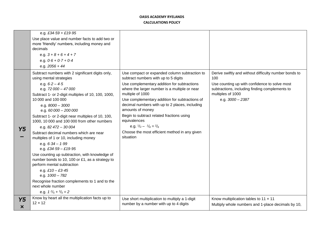|                         | e.g. £34.59 + £19.95<br>Use place value and number facts to add two or<br>more 'friendly' numbers, including money and<br>decimals<br>e.g. $3 + 8 + 6 + 4 + 7$<br>e.g. $0.6 + 0.7 + 0.4$<br>e.g. $2056 + 44$                                                                                                                                                                                                                                                                                                                                                                                                                                                                                                                                                                                    |                                                                                                                                                                                                                                                                                                                                                                                                                                                                                                                |                                                                                                                                                                                                            |
|-------------------------|-------------------------------------------------------------------------------------------------------------------------------------------------------------------------------------------------------------------------------------------------------------------------------------------------------------------------------------------------------------------------------------------------------------------------------------------------------------------------------------------------------------------------------------------------------------------------------------------------------------------------------------------------------------------------------------------------------------------------------------------------------------------------------------------------|----------------------------------------------------------------------------------------------------------------------------------------------------------------------------------------------------------------------------------------------------------------------------------------------------------------------------------------------------------------------------------------------------------------------------------------------------------------------------------------------------------------|------------------------------------------------------------------------------------------------------------------------------------------------------------------------------------------------------------|
| Y <sub>5</sub>          | Subtract numbers with 2 significant digits only,<br>using mental strategies<br>e.g. $6.2 - 4.5$<br>e.g. $72000 - 47000$<br>Subtract 1- or 2-digit multiples of 10, 100, 1000,<br>10 000 and 100 000<br>e.g. 8000 - 3000<br>e.g. $60000 - 200000$<br>Subtract 1- or 2-digit near multiples of 10, 100,<br>1000, 10 000 and 100 000 from other numbers<br>e.g. $82\,472 - 30\,004$<br>Subtract decimal numbers which are near<br>multiples of 1 or 10, including money<br>e.g. $6.34 - 1.99$<br>e.g. £34.59 - £19.95<br>Use counting up subtraction, with knowledge of<br>number bonds to 10, 100 or £1, as a strategy to<br>perform mental subtraction<br>e.g. $£10 - £3.45$<br>e.g. 1000 - 782<br>Recognise fraction complements to 1 and to the<br>next whole number<br>e.g. $1^2/5 + 3/5 = 2$ | Use compact or expanded column subtraction to<br>subtract numbers with up to 5 digits<br>Use complementary addition for subtractions<br>where the larger number is a multiple or near<br>multiple of 1000<br>Use complementary addition for subtractions of<br>decimal numbers with up to 2 places, including<br>amounts of money<br>Begin to subtract related fractions using<br>equivalences<br>e.g. $\frac{1}{2} - \frac{1}{6} = \frac{2}{6}$<br>Choose the most efficient method in any given<br>situation | Derive swiftly and without difficulty number bonds to<br>100<br>Use counting up with confidence to solve most<br>subtractions, including finding complements to<br>multiples of 1000<br>e.g. $3000 - 2387$ |
| Y5<br>$\bm{\mathsf{x}}$ | Know by heart all the multiplication facts up to<br>$12 \times 12$                                                                                                                                                                                                                                                                                                                                                                                                                                                                                                                                                                                                                                                                                                                              | Use short multiplication to multiply a 1-digit<br>number by a number with up to 4 digits                                                                                                                                                                                                                                                                                                                                                                                                                       | Know multiplication tables to 11 x 11<br>Multiply whole numbers and 1-place decimals by 10,                                                                                                                |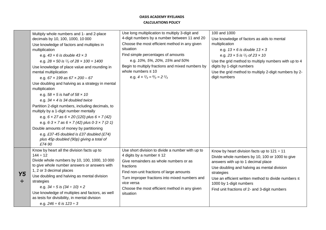|           | Multiply whole numbers and 1- and 2-place<br>decimals by 10, 100, 1000, 10 000<br>Use knowledge of factors and multiples in<br>multiplication<br>e.g. $43 \times 6$ is double $43 \times 3$<br>e.g. $28 \times 50$ is $\frac{1}{2}$ of $28 \times 100 = 1400$<br>Use knowledge of place value and rounding in<br>mental multiplication<br>e.g. $67 \times 199$ as $67 \times 200 - 67$<br>Use doubling and halving as a strategy in mental<br>multiplication<br>e.g. $58 \times 5$ is half of $58 \times 10$<br>e.g. $34 \times 4$ is 34 doubled twice<br>Partition 2-digit numbers, including decimals, to<br>multiply by a 1-digit number mentally<br>e.g. $6 \times 27$ as $6 \times 20$ (120) plus $6 \times 7$ (42)<br>e.g. $6.3 \times 7$ as $6 \times 7$ (42) plus $0.3 \times 7$ (2.1) | Use long multiplication to multiply 3-digit and<br>4-digit numbers by a number between 11 and 20<br>Choose the most efficient method in any given<br>situation<br>Find simple percentages of amounts<br>e.g. 10%, 5%, 20%, 15% and 50%<br>Begin to multiply fractions and mixed numbers by<br>whole numbers $\leq 10$<br>e.g. $4 \times \frac{2}{3} = \frac{8}{3} = \frac{2}{3}$ | 100 and 1000<br>Use knowledge of factors as aids to mental<br>multiplication<br>e.g. $13 \times 6$ is double $13 \times 3$<br>e.g. $23 \times 5$ is $\frac{1}{2}$ of $23 \times 10$<br>Use the grid method to multiply numbers with up to 4<br>digits by 1-digit numbers<br>Use the grid method to multiply 2-digit numbers by 2-<br>digit numbers |
|-----------|------------------------------------------------------------------------------------------------------------------------------------------------------------------------------------------------------------------------------------------------------------------------------------------------------------------------------------------------------------------------------------------------------------------------------------------------------------------------------------------------------------------------------------------------------------------------------------------------------------------------------------------------------------------------------------------------------------------------------------------------------------------------------------------------|----------------------------------------------------------------------------------------------------------------------------------------------------------------------------------------------------------------------------------------------------------------------------------------------------------------------------------------------------------------------------------|----------------------------------------------------------------------------------------------------------------------------------------------------------------------------------------------------------------------------------------------------------------------------------------------------------------------------------------------------|
| <b>Y5</b> | e.g. £37.45 doubled is £37 doubled (£74)<br>plus 45p doubled (90p) giving a total of<br>£74.90<br>Know by heart all the division facts up to<br>$144 \div 12$<br>Divide whole numbers by 10, 100, 1000, 10 000<br>to give whole number answers or answers with<br>1, 2 or 3 decimal places<br>Use doubling and halving as mental division<br>strategies<br>e.g. $34 \div 5$ is $(34 \div 10) \times 2$<br>Use knowledge of multiples and factors, as well<br>as tests for divisibility, in mental division<br>e.g. $246 \div 6$ is $123 \div 3$                                                                                                                                                                                                                                                | Use short division to divide a number with up to<br>4 digits by a number $\leq 12$<br>Give remainders as whole numbers or as<br>fractions<br>Find non-unit fractions of large amounts<br>Turn improper fractions into mixed numbers and<br>vice versa<br>Choose the most efficient method in any given<br>situation                                                              | Know by heart division facts up to $121 \div 11$<br>Divide whole numbers by 10, 100 or 1000 to give<br>answers with up to 1 decimal place<br>Use doubling and halving as mental division<br>strategies<br>Use an efficient written method to divide numbers ≤<br>1000 by 1-digit numbers<br>Find unit fractions of 2- and 3-digit numbers          |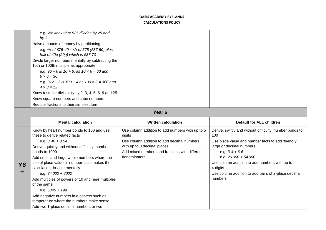| e.g. We know that 525 divides by 25 and<br>by $3$                                                       |  |
|---------------------------------------------------------------------------------------------------------|--|
| Halve amounts of money by partitioning                                                                  |  |
| e.g. $\frac{1}{2}$ of £75.40 = $\frac{1}{2}$ of £75 (£37.50) plus<br>half of $40p(20p)$ which is £37.70 |  |
| Divide larger numbers mentally by subtracting the<br>10th or 100th multiple as appropriate              |  |
| e.g. $96 \div 6$ is $10 + 6$ , as $10 \times 6 = 60$ and<br>$6 \times 6 = 36$                           |  |
| e.g. $312 \div 3$ is $100 + 4$ as $100 \times 3 = 300$ and<br>$4 \times 3 = 12$                         |  |
| Know tests for divisibility by 2, 3, 4, 5, 6, 9 and 25                                                  |  |
| Know square numbers and cube numbers                                                                    |  |
| Reduce fractions to their simplest form                                                                 |  |
|                                                                                                         |  |

# **Year 6**

|                | <b>Mental calculation</b>                                                                                                                                                                                                                                                                                                                                                                                                                                                                                                                            | <b>Written calculation</b>                                                                                                                                                                               | Default for ALL children                                                                                                                                                                                                                                                                                                    |
|----------------|------------------------------------------------------------------------------------------------------------------------------------------------------------------------------------------------------------------------------------------------------------------------------------------------------------------------------------------------------------------------------------------------------------------------------------------------------------------------------------------------------------------------------------------------------|----------------------------------------------------------------------------------------------------------------------------------------------------------------------------------------------------------|-----------------------------------------------------------------------------------------------------------------------------------------------------------------------------------------------------------------------------------------------------------------------------------------------------------------------------|
| <b>Y6</b><br>÷ | Know by heart number bonds to 100 and use<br>these to derive related facts<br>e.g. $3.46 + 0.54$<br>Derive, quickly and without difficulty, number<br>bonds to 1000<br>Add small and large whole numbers where the<br>use of place value or number facts makes the<br>calculation do-able mentally<br>e.g. $34000 + 8000$<br>Add multiples of powers of 10 and near multiples<br>of the same<br>e.g. $6345 + 199$<br>Add negative numbers in a context such as<br>temperature where the numbers make sense<br>Add two 1-place decimal numbers or two | Use column addition to add numbers with up to 5<br>digits<br>Use column addition to add decimal numbers<br>with up to 3 decimal places<br>Add mixed numbers and fractions with different<br>denominators | Derive, swiftly and without difficulty, number bonds to<br>100<br>Use place value and number facts to add 'friendly'<br>large or decimal numbers<br>e.g. $3.4 + 6.6$<br>e.g. $26000 + 54000$<br>Use column addition to add numbers with up to<br>4-digits<br>Use column addition to add pairs of 2-place decimal<br>numbers |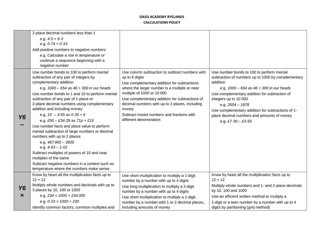|                     | 2-place decimal numbers less than 1<br>e.g. $4.5 + 6.3$<br>e.g. $0.74 + 0.33$<br>Add positive numbers to negative numbers<br>e.g. Calculate a rise in temperature or<br>continue a sequence beginning with a<br>negative number                                                                                                                                                                                                                                                                                                                                                                                                                                                                                                                                  |                                                                                                                                                                                                                                                                                                                                                                                     |                                                                                                                                                                                                                                                                                                                                                                                      |
|---------------------|------------------------------------------------------------------------------------------------------------------------------------------------------------------------------------------------------------------------------------------------------------------------------------------------------------------------------------------------------------------------------------------------------------------------------------------------------------------------------------------------------------------------------------------------------------------------------------------------------------------------------------------------------------------------------------------------------------------------------------------------------------------|-------------------------------------------------------------------------------------------------------------------------------------------------------------------------------------------------------------------------------------------------------------------------------------------------------------------------------------------------------------------------------------|--------------------------------------------------------------------------------------------------------------------------------------------------------------------------------------------------------------------------------------------------------------------------------------------------------------------------------------------------------------------------------------|
| Y6                  | Use number bonds to 100 to perform mental<br>subtraction of any pair of integers by<br>complementary addition<br>e.g. $1000 - 654$ as $46 + 300$ in our heads<br>Use number bonds to 1 and 10 to perform mental<br>subtraction of any pair of 1-place or<br>2-place decimal numbers using complementary<br>addition and including money<br>e.g. $10 - 3.65$ as $0.35 + 6$<br>e.g. £50 - £34.29 as $71p + 15$<br>Use number facts and place value to perform<br>mental subtraction of large numbers or decimal<br>numbers with up to 2 places<br>e.g. $467900 - 3005$<br>e.g. $4.63 - 1.02$<br>Subtract multiples of powers of 10 and near<br>multiples of the same<br>Subtract negative numbers in a context such as<br>temperature where the numbers make sense | Use column subtraction to subtract numbers with<br>up to 6 digits<br>Use complementary addition for subtractions<br>where the larger number is a multiple or near<br>multiple of 1000 or 10 000<br>Use complementary addition for subtractions of<br>decimal numbers with up to 3 places, including<br>money<br>Subtract mixed numbers and fractions with<br>different denominators | Use number bonds to 100 to perform mental<br>subtraction of numbers up to 1000 by complementary<br>addition<br>e.g. $1000 - 654$ as $46 + 300$ in our heads<br>Use complementary addition for subtraction of<br>integers up to 10 000<br>e.g. $2504 - 1878$<br>Use complementary addition for subtractions of 1-<br>place decimal numbers and amounts of money<br>e.g. £7.30 - £3.55 |
| Y6<br>$\bm{\times}$ | Know by heart all the multiplication facts up to<br>$12 \times 12$<br>Multiply whole numbers and decimals with up to<br>3 places by 10, 100 or 1000<br>e.g. $234 \times 1000 = 234000$<br>e.g. $0.23 \times 1000 = 230$<br>Identify common factors, common multiples and                                                                                                                                                                                                                                                                                                                                                                                                                                                                                         | Use short multiplication to multiply a 1-digit<br>number by a number with up to 4 digits<br>Use long multiplication to multiply a 2-digit<br>number by a number with up to 4 digits<br>Use short multiplication to multiply a 1-digit<br>number by a number with 1 or 2 decimal places,<br>including amounts of money                                                               | Know by heart all the multiplication facts up to<br>$12 \times 12$<br>Multiply whole numbers and 1- and 2-place decimals<br>by 10, 100 and 1000<br>Use an efficient written method to multiply a<br>1-digit or a teen number by a number with up to 4<br>digits by partitioning (grid method)                                                                                        |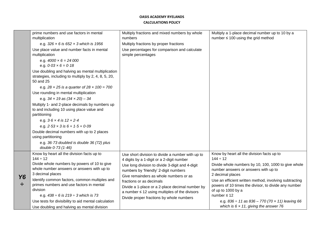|                | prime numbers and use factors in mental<br>multiplication                                                                                          | Multiply fractions and mixed numbers by whole<br>numbers                                       | Multiply a 1-place decimal number up to 10 by a<br>number $\leq 100$ using the grid method                                           |
|----------------|----------------------------------------------------------------------------------------------------------------------------------------------------|------------------------------------------------------------------------------------------------|--------------------------------------------------------------------------------------------------------------------------------------|
|                | e.g. $326 \times 6$ is 652 $\times$ 3 which is 1956                                                                                                | Multiply fractions by proper fractions                                                         |                                                                                                                                      |
|                | Use place value and number facts in mental<br>multiplication                                                                                       | Use percentages for comparison and calculate<br>simple percentages                             |                                                                                                                                      |
|                | e.g. $4000 \times 6 = 24000$<br>e.g. $0.03 \times 6 = 0.18$                                                                                        |                                                                                                |                                                                                                                                      |
|                | Use doubling and halving as mental multiplication<br>strategies, including to multiply by 2, 4, 8, 5, 20,<br>50 and 25                             |                                                                                                |                                                                                                                                      |
|                | e.g. $28 \times 25$ is a quarter of $28 \times 100 = 700$<br>Use rounding in mental multiplication<br>e.g. $34 \times 19$ as $(34 \times 20) - 34$ |                                                                                                |                                                                                                                                      |
|                | Multiply 1- and 2-place decimals by numbers up<br>to and including 10 using place value and<br>partitioning                                        |                                                                                                |                                                                                                                                      |
|                | e.g. $3.6 \times 4$ is $12 + 2.4$                                                                                                                  |                                                                                                |                                                                                                                                      |
|                | e.g. $2.53 \times 3$ is $6 + 1.5 + 0.09$                                                                                                           |                                                                                                |                                                                                                                                      |
|                | Double decimal numbers with up to 2 places                                                                                                         |                                                                                                |                                                                                                                                      |
|                | using partitioning                                                                                                                                 |                                                                                                |                                                                                                                                      |
|                | e.g. 36.73 doubled is double 36 (72) plus<br>double 0.73 (1.46)                                                                                    |                                                                                                |                                                                                                                                      |
|                | Know by heart all the division facts up to                                                                                                         | Use short division to divide a number with up to                                               | Know by heart all the division facts up to                                                                                           |
| <b>Y6</b><br>÷ | $144 \div 12$<br>Divide whole numbers by powers of 10 to give                                                                                      | 4 digits by a 1-digit or a 2-digit number                                                      | $144 \div 12$<br>Divide whole numbers by 10, 100, 1000 to give whole                                                                 |
|                | whole number answers or answers with up to                                                                                                         | Use long division to divide 3-digit and 4-digit<br>numbers by 'friendly' 2-digit numbers       | number answers or answers with up to                                                                                                 |
|                | 3 decimal places                                                                                                                                   | Give remainders as whole numbers or as                                                         | 2 decimal places                                                                                                                     |
|                | Identify common factors, common multiples and<br>primes numbers and use factors in mental<br>division                                              | fractions or as decimals<br>Divide a 1-place or a 2-place decimal number by                    | Use an efficient written method, involving subtracting<br>powers of 10 times the divisor, to divide any number<br>of up to 1000 by a |
|                | e.g. $438 \div 6$ is $219 \div 3$ which is 73                                                                                                      | a number $\leq 12$ using multiples of the divisors<br>Divide proper fractions by whole numbers | number $\leq 12$                                                                                                                     |
|                | Use tests for divisibility to aid mental calculation                                                                                               |                                                                                                | e.g. $836 \div 11$ as $836 - 770$ (70 x 11) leaving 66                                                                               |
|                | Use doubling and halving as mental division                                                                                                        |                                                                                                | which is $6 \times 11$ , giving the answer 76                                                                                        |